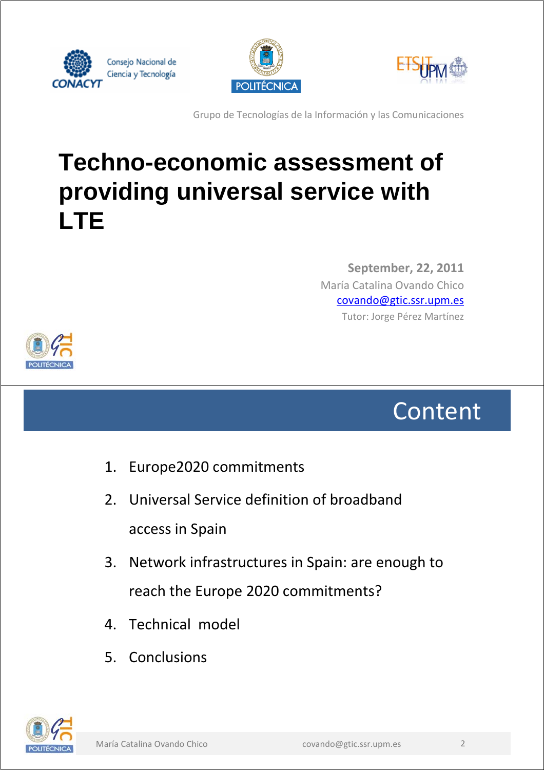





Grupo de Tecnologías de la Información y las Comunicaciones

## **Techno-economic assessment of providing universal service with LTE**

María Catalina Ovando Chico covando@gtic.ssr.upm.es Tutor: Jorge Pérez Martínez **September, 22, 2011**



Content

- 1. Europe2020 commitments
- 2. Universal Service definition of broadband access in Spain
- 3. Network infrastructures in Spain: are enough to reach the Europe 2020 commitments?
- 4. Technical model
- 5. Conclusions

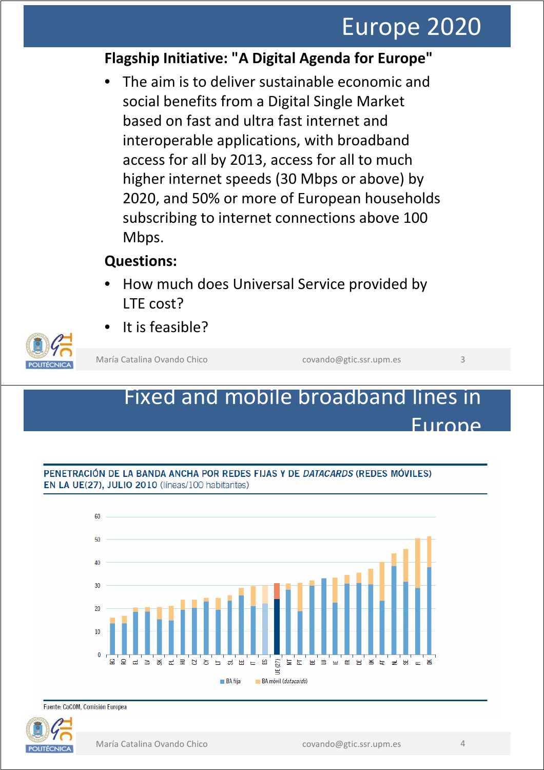## Europe 2020

### **Flagship Initiative: "A Digital Agenda for Europe"**

The aim is to deliver sustainable economic and social benefits from a Digital Single Market based on fast and ultra fast internet and interoperable applications, with broadband access for all by 2013, access for all to much higher internet speeds (30 Mbps or above) by 2020, and 50% or more of European households subscribing to internet connections above 100 Mbps.

### **Questions:**

- How much does Universal Service provided by LTE cost?
- It is feasible?

María Catalina Ovando Chico covando Quando @gtic.ssr.upm.es 3

### Fixed and mobile broadband lines in Europe



#### PENETRACIÓN DE LA BANDA ANCHA POR REDES FIJAS Y DE *DATACARDS* (REDES MÓVILES) EN LA UE(27), JULIO 2010 (líneas/100 habitantes)

Fuente: CoCOM, Comisión Europea

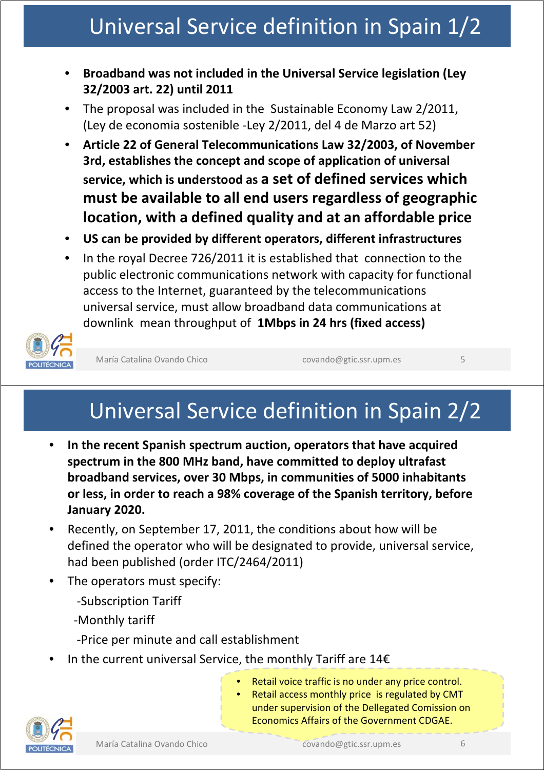## Universal Service definition in Spain 1/2

- **Broadband was not included in the Universal Service legislation (Ley 32/2003 art. 22) until 2011**
- The proposal was included in the Sustainable Economy Law 2/2011, (Ley de economia sostenible -Ley 2/2011, del 4 de Marzo art 52)
- **Article 22 of General Telecommunications Law 32/2003, of November 3rd, establishes the concept and scope of application of universal service, which is understood as a set of defined services which must be available to all end users regardless of geographic location, with a defined quality and at an affordable price**
- **US can be provided by different operators, different infrastructures**
- In the royal Decree 726/2011 it is established that connection to the public electronic communications network with capacity for functional access to the Internet, guaranteed by the telecommunications universal service, must allow broadband data communications at downlink mean throughput of **1Mbps in 24 hrs (fixed access)**



María Catalina Ovando Chico covando@gtic.ssr.upm.es 5

## Universal Service definition in Spain 2/2

- **In the recent Spanish spectrum auction, operators that have acquired spectrum in the 800 MHz band, have committed to deploy ultrafast broadband services, over 30 Mbps, in communities of 5000 inhabitants or less, in order to reach a 98% coverage of the Spanish territory, before January 2020.**
- Recently, on September 17, 2011, the conditions about how will be defined the operator who will be designated to provide, universal service, had been published (order ITC/2464/2011)
- The operators must specify:
	- -Subscription Tariff
	- -Monthly tariff
	- -Price per minute and call establishment
- In the current universal Service, the monthly Tariff are  $14E$ 
	- Retail voice traffic is no under any price control.
		- Retail access monthly price is regulated by CMT under supervision of the Dellegated Comission on Economics Affairs of the Government CDGAE.

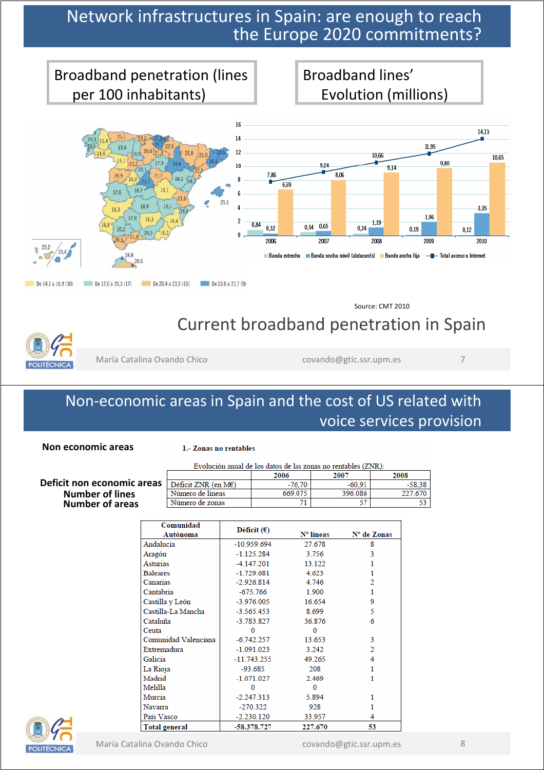### Network infrastructures in Spain: are enough to reach the Europe 2020 commitments?



Source: CMT 2010

 $-58,38$ 

53

227.670

### Current broadband penetration in Spain



María Catalina Ovando Chico covando Quando Quando Quando Quando Quando Quando Quando Covando Quando Covando Qu

396.086

57

### Non-economic areas in Spain and the cost of US related with voice services provision

**Non economic areas**

#### 1.- Zonas no rentables

|                                   | Evolución anual de los datos de las zonas no rentables (ZNR): |        |      |
|-----------------------------------|---------------------------------------------------------------|--------|------|
|                                   | 2006                                                          | 2007   | 2008 |
| $\mathsf{IS}$ Déficit ZNR (en ME) | -76.70                                                        | -60.91 |      |

669.075

71

#### **Deficit non economic areas** Déficit ZNR (en M€ **Number of lines** Número de líneas Número de zonas **Number of areas**

| Comunidad            |                      |           |             |  |  |
|----------------------|----------------------|-----------|-------------|--|--|
| Autónoma             | Déficit $(\epsilon)$ | N° líneas | N° de Zonas |  |  |
| Andalucía            | $-10.959.694$        | 27.678    | 8           |  |  |
| Aragón               | $-1.125.284$         | 3.756     | 3           |  |  |
| Asturias             | $-4.147.201$         | 13.122    |             |  |  |
| <b>Baleares</b>      | $-1.729.681$         | 4.623     |             |  |  |
| Canarias             | $-2.926.814$         | 4.746     | 2           |  |  |
| Cantabria            | $-675.766$           | 1.900     |             |  |  |
| Castilla y León      | $-3.976.005$         | 16.654    | 9           |  |  |
| Castilla-La Mancha   | $-3.565.453$         | 8.699     | 5           |  |  |
| Cataluña             | $-3.783.827$         | 36.876    | 6           |  |  |
| Ceuta                | 0                    | 0         |             |  |  |
| Comunidad Valenciana | $-6.742.257$         | 13.653    | 3           |  |  |
| Extremadura          | $-1.091.023$         | 3.242     | 2           |  |  |
| Galicia              | $-11.743.255$        | 49.265    | 4           |  |  |
| La Rioja             | $-93.685$            | 208       |             |  |  |
| Madrid               | $-1.071.027$         | 2.469     |             |  |  |
| Melilla              | 0                    | 0         |             |  |  |
| Murcia               | $-2.247.313$         | 5.894     |             |  |  |
| <b>Navarra</b>       | $-270.322$           | 928       |             |  |  |
| País Vasco           | $-2.230.120$         | 33.957    | 4           |  |  |
| <b>Total general</b> | -58.378.727          | 227.670   | 53          |  |  |

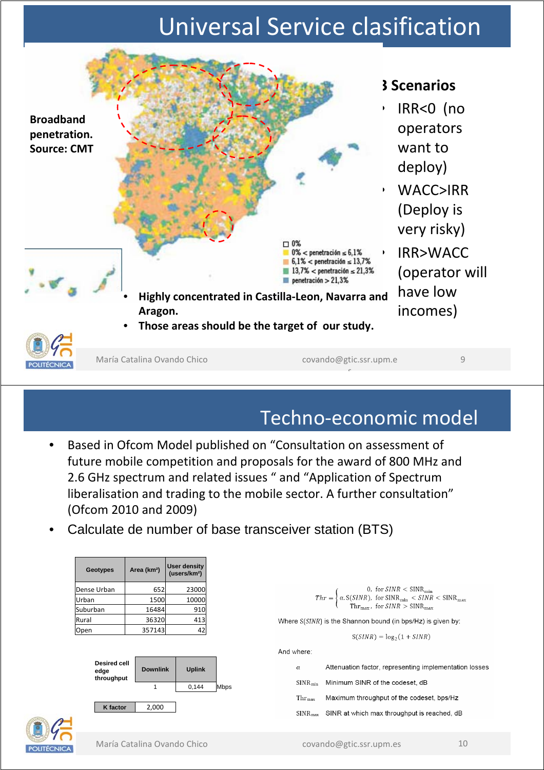## Universal Service clasification



### Techno-economic model

- Based in Ofcom Model published on "Consultation on assessment of future mobile competition and proposals for the award of 800 MHz and 2.6 GHz spectrum and related issues " and "Application of Spectrum liberalisation and trading to the mobile sector. A further consultation" (Ofcom 2010 and 2009)
- Calculate de number of base transceiver station (BTS)

| Geotypes                    | Area (km <sup>2</sup> ) | <b>User density</b><br>(users/km <sup>2</sup> ) |      |                                                                                                                                                                                                                                                                                                  |
|-----------------------------|-------------------------|-------------------------------------------------|------|--------------------------------------------------------------------------------------------------------------------------------------------------------------------------------------------------------------------------------------------------------------------------------------------------|
| Dense Urban                 | 652                     | 23000                                           |      |                                                                                                                                                                                                                                                                                                  |
| Urban                       | 1500                    | 10000                                           |      | $Thr = \left\{ \begin{array}{ll} 0, \mbox{ for } SINR < \text{SINR}_{\text{min}} \\ \alpha. \mbox{ S(SINR), for } \text{SINR}_{\text{min}} < SINR < \text{SINR}_{\text{max}} \\ \mbox{Thr}_{\text{max}}, \mbox{ for } \text{SINR} > \text{SINR}_{\text{max}} \end{array} \right. \label{eq:Thr}$ |
| Suburban                    | 16484                   | 910                                             |      |                                                                                                                                                                                                                                                                                                  |
| Rural                       | 36320                   | 413                                             |      | Where S(SINR) is the Shannon bound (in bps/Hz) is given by:                                                                                                                                                                                                                                      |
| Open                        | 357143                  | 42                                              |      | $S(SINR) = log_2(1 + SINR)$                                                                                                                                                                                                                                                                      |
|                             |                         |                                                 |      | And where:                                                                                                                                                                                                                                                                                       |
| <b>Desired cell</b><br>edge | <b>Downlink</b>         | <b>Uplink</b>                                   |      | Attenuation factor, representing implementation losses<br>$\alpha$                                                                                                                                                                                                                               |
| throughput                  |                         | 0,144                                           | Mbps | Minimum SINR of the codeset, dB<br>$SINR_{min}$                                                                                                                                                                                                                                                  |
|                             |                         |                                                 |      | Maximum throughput of the codeset, bps/Hz<br>$Thr_{\text{max}}$                                                                                                                                                                                                                                  |
| K factor                    | 2,000                   |                                                 |      | SINR at which max throughput is reached, dB<br>$SINR_{max}$                                                                                                                                                                                                                                      |
|                             |                         |                                                 |      |                                                                                                                                                                                                                                                                                                  |
|                             |                         |                                                 |      |                                                                                                                                                                                                                                                                                                  |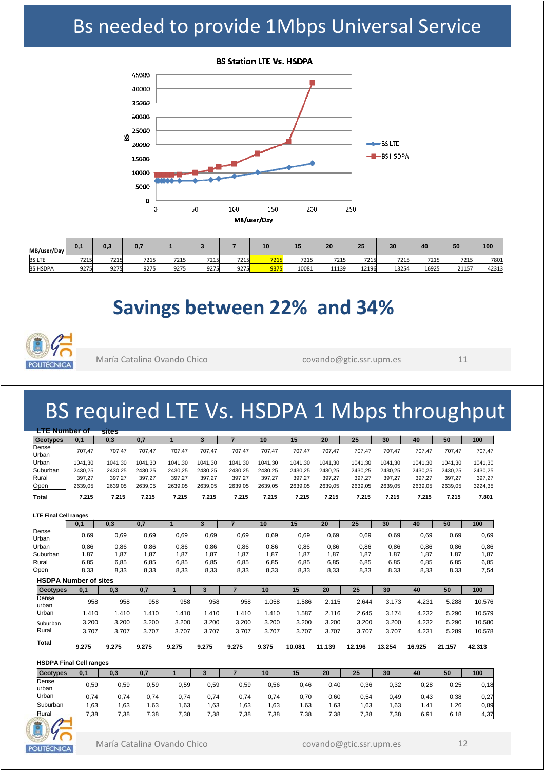### Bs needed to provide 1Mbps Universal Service



| MB/user/Day     | 0.1  | 0,3  | 0.7  |      |      |      | 10   | $\overline{A}$ | 20    | 25    | 30    | 40    | 50    | 100   |
|-----------------|------|------|------|------|------|------|------|----------------|-------|-------|-------|-------|-------|-------|
| <b>BS LTE</b>   | 7215 | 7215 | 7215 | 7215 | 7215 | 7215 | 7215 | 7215           | 7215  | 7215  | 7215  | 7215  | 7215  | 7801  |
| <b>BS HSDPA</b> | 9275 | 9275 | 9275 | 9275 | 9275 | 9275 | 9375 | 10081          | 11139 | 12196 | 13254 | 16925 | 21157 | 42313 |

### **Savings between 22% and 34%**



María Catalina Ovando Chico covando@gtic.ssr.upm.es 11

## BS required LTE Vs. HSDPA 1 Mbps throughput

| <b>LTE Number of</b>         |         | <b>sites</b> |         |         |         |                |         |         |         |         |         |         |         |         |
|------------------------------|---------|--------------|---------|---------|---------|----------------|---------|---------|---------|---------|---------|---------|---------|---------|
| <b>Geotypes</b>              | 0,1     | 0,3          | 0,7     | 1       | 3       | $\overline{7}$ | 10      | 15      | 20      | 25      | 30      | 40      | 50      | 100     |
| Dense<br>Urban               | 707,47  | 707,47       | 707,47  | 707,47  | 707,47  | 707,47         | 707,47  | 707,47  | 707,47  | 707,47  | 707,47  | 707,47  | 707,47  | 707,47  |
| Urban                        | 1041.30 | 1041.30      | 1041,30 | 1041.30 | 1041.30 | 1041,30        | 1041.30 | 1041,30 | 1041.30 | 1041,30 | 1041.30 | 1041,30 | 1041.30 | 1041,30 |
| Suburban                     | 2430,25 | 2430.25      | 2430,25 | 2430.25 | 2430,25 | 2430.25        | 2430.25 | 2430,25 | 2430.25 | 2430,25 | 2430.25 | 2430,25 | 2430.25 | 2430,25 |
| Rural                        | 397,27  | 397,27       | 397,27  | 397.27  | 397,27  | 397,27         | 397.27  | 397,27  | 397,27  | 397,27  | 397.27  | 397,27  | 397,27  | 397,27  |
| Open                         | 2639,05 | 2639,05      | 2639,05 | 2639,05 | 2639,05 | 2639,05        | 2639,05 | 2639,05 | 2639,05 | 2639,05 | 2639,05 | 2639,05 | 2639,05 | 3224,35 |
| <b>Total</b>                 | 7.215   | 7.215        | 7.215   | 7.215   | 7.215   | 7.215          | 7.215   | 7.215   | 7.215   | 7.215   | 7.215   | 7.215   | 7.215   | 7.801   |
| <b>LTE Final Cell ranges</b> |         |              |         |         |         |                |         |         |         |         |         |         |         |         |
|                              | 0,1     | 0,3          | 0,7     | 1       | 3       | $\overline{7}$ | 10      | 15      | 20      | 25      | 30      | 40      | 50      | 100     |
| Dense<br>Urban               | 0,69    | 0,69         | 0,69    | 0,69    | 0,69    | 0,69           | 0,69    | 0,69    | 0,69    | 0,69    | 0,69    | 0,69    | 0,69    | 0,69    |
| Urban                        | 0.86    | 0,86         | 0.86    | 0.86    | 0.86    | 0.86           | 0.86    | 0.86    | 0.86    | 0.86    | 0,86    | 0.86    | 0.86    | 0,86    |
| Suburban                     | 1,87    | 1,87         | 1,87    | 1,87    | 1,87    | 1.87           | 1.87    | 1.87    | 1,87    | 1.87    | 1,87    | 1,87    | 1,87    | 1,87    |
| Rural                        | 6,85    | 6,85         | 6,85    | 6,85    | 6,85    | 6,85           | 6,85    | 6,85    | 6,85    | 6,85    | 6,85    | 6,85    | 6,85    | 6,85    |
| Open                         | 8,33    | 8,33         | 8,33    | 8,33    | 8,33    | 8,33           | 8,33    | 8,33    | 8,33    | 8,33    | 8,33    | 8,33    | 8,33    | 7,54    |
| <b>HSDPA Number of sites</b> |         |              |         |         |         |                |         |         |         |         |         |         |         |         |
| <b>Geotypes</b>              | 0,1     | 0,3          | 0,7     | 1       | 3       | $\overline{7}$ | 10      | 15      | 20      | 25      | 30      | 40      | 50      | 100     |
| Dense<br>lurban              | 958     | 958          | 958     | 958     | 958     | 958            | 1.058   | 1.586   | 2.115   | 2.644   | 3.173   | 4.231   | 5.288   | 10.576  |
| Urban                        | 1.410   | 1.410        | 1.410   | 1.410   | 1.410   | 1.410          | 1.410   | 1.587   | 2.116   | 2.645   | 3.174   | 4.232   | 5.290   | 10.579  |
| Suburban                     | 3.200   | 3.200        | 3.200   | 3.200   | 3.200   | 3.200          | 3.200   | 3.200   | 3.200   | 3.200   | 3.200   | 4.232   | 5.290   | 10.580  |
| Rural                        | 3.707   | 3.707        | 3.707   | 3.707   | 3.707   | 3.707          | 3.707   | 3.707   | 3.707   | 3.707   | 3.707   | 4.231   | 5.289   | 10.578  |
| <b>Total</b>                 | 9.275   | 9.275        | 9.275   | 9.275   | 9.275   | 9.275          | 9.375   | 10.081  | 11.139  | 12.196  | 13.254  | 16.925  | 21.157  | 42.313  |

**HSDPA Final Cell ranges**

| Geotypes        | 0.1            | 0,3   |      |       |      |      | 10   | 15   | 20    | 25   | 30   | 40               | 50   | 100  |
|-----------------|----------------|-------|------|-------|------|------|------|------|-------|------|------|------------------|------|------|
| Dense           | 0.59           | 0,59  | 0.59 | 0,59  | 0,59 | 0,59 | 0,56 | 0,46 | 0,40  | 0,36 | 0,32 | 0,28             | 0,25 | 0,18 |
| lurban<br>Urban | 0.74           | 0,74  | 0.74 | 0.74  | 0.74 | 0.74 | 0.74 | 0,70 | 0.60  | 0,54 | 0,49 | 0,43             | 0,38 | 0,27 |
| Suburban        | .63            | 63. ا | .63  | 63. ا | .63  | .63  | .63  | .63  | 63. ا | .63  | . 63 | 1.41             | l.26 | 0,89 |
| Rural           | $^{\cdot}$ .38 | 7,38  | 7,38 | 7,38  | 7,38 | 7,38 | 7,38 | 7,38 | 7,38  | 7,38 | 7.38 | 6,9 <sup>4</sup> | 6,18 | 4,37 |

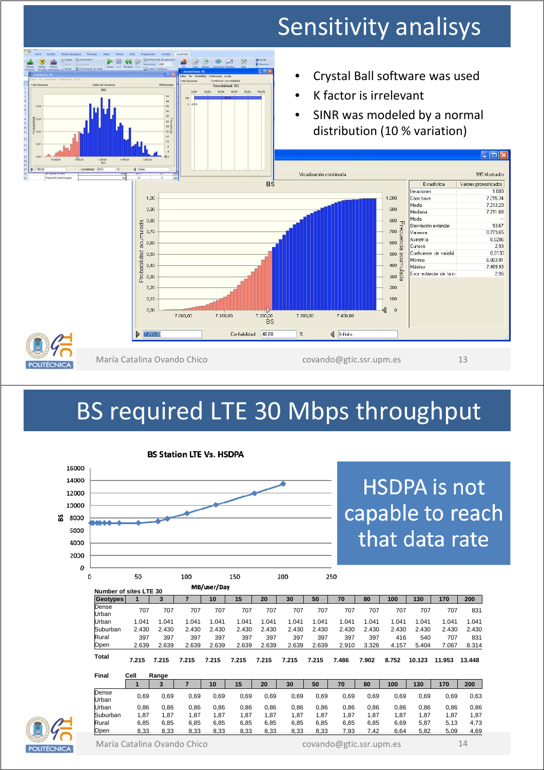## Sensitivity analisys





María Catalina Ovando Chico covando covando@gtic.ssr.upm.es 13

## BS required LTE 30 Mbps throughput



#### **BS Station LTE Vs. HSDPA**

## **HSDPA** is not capable to reach that data rate

| C.                     | 50    |       | 100            |             | 150   |       | 200   |       | 250   |       |       |        |        |        |
|------------------------|-------|-------|----------------|-------------|-------|-------|-------|-------|-------|-------|-------|--------|--------|--------|
| Number of sites LTE 30 |       |       |                | MB/user/Day |       |       |       |       |       |       |       |        |        |        |
| Geotypes               |       | 3     | $\overline{7}$ | 10          | 15    | 20    | 30    | 50    | 70    | 80    | 100   | 130    | 170    | 200    |
| Dense<br>Urban         | 707   | 707   | 707            | 707         | 707   | 707   | 707   | 707   | 707   | 707   | 707   | 707    | 707    | 831    |
| Urban                  | 1.041 | 1.041 | 1.041          | 1.041       | 1.041 | 1.041 | 1.041 | 1.041 | 1.041 | 1.041 | 1.041 | 1.041  | 1.041  | 1.041  |
| Suburban               | 2.430 | 2.430 | 2.430          | 2.430       | 2.430 | 2.430 | 2.430 | 2.430 | 2.430 | 2.430 | 2.430 | 2.430  | 2.430  | 2.430  |
| Rural                  | 397   | 397   | 397            | 397         | 397   | 397   | 397   | 397   | 397   | 397   | 416   | 540    | 707    | 831    |
| Open                   | 2.639 | 2.639 | 2.639          | 2.639       | 2.639 | 2.639 | 2.639 | 2.639 | 2.910 | 3.326 | 4.157 | 5.404  | 7.067  | 8.314  |
| <b>Total</b>           | 7.215 | 7.215 | 7.215          | 7.215       | 7.215 | 7.215 | 7.215 | 7.215 | 7.486 | 7.902 | 8.752 | 10.123 | 11.953 | 13.448 |
| Final                  | Cell  | Range |                |             |       |       |       |       |       |       |       |        |        |        |
|                        | 1     | 3     | 7              | 10          | 15    | 20    | 30    | 50    | 70    | 80    | 100   | 130    | 170    | 200    |
| Dense<br>Urban         | 0,69  | 0,69  | 0,69           | 0,69        | 0,69  | 0,69  | 0,69  | 0,69  | 0,69  | 0,69  | 0,69  | 0,69   | 0,69   | 0,63   |
| Urban                  | 0,86  | 0.86  | 0,86           | 0,86        | 0,86  | 0,86  | 0.86  | 0,86  | 0,86  | 0,86  | 0,86  | 0,86   | 0,86   | 0,86   |
| Suburban               | 1,87  | 1,87  | 1,87           | 1,87        | 1,87  | 1,87  | 1,87  | 1,87  | 1,87  | 1,87  | 1,87  | 1,87   | 1,87   | 1,87   |
| Rural                  | 6,85  | 6.85  | 6,85           | 6,85        | 6,85  | 6,85  | 6,85  | 6,85  | 6,85  | 6,85  | 6,69  | 5,87   | 5,13   | 4,73   |
| Open                   | 8,33  | 8,33  | 8,33           | 8,33        | 8,33  | 8,33  | 8,33  | 8,33  | 7,93  | 7,42  | 6,64  | 5,82   | 5,09   | 4,69   |